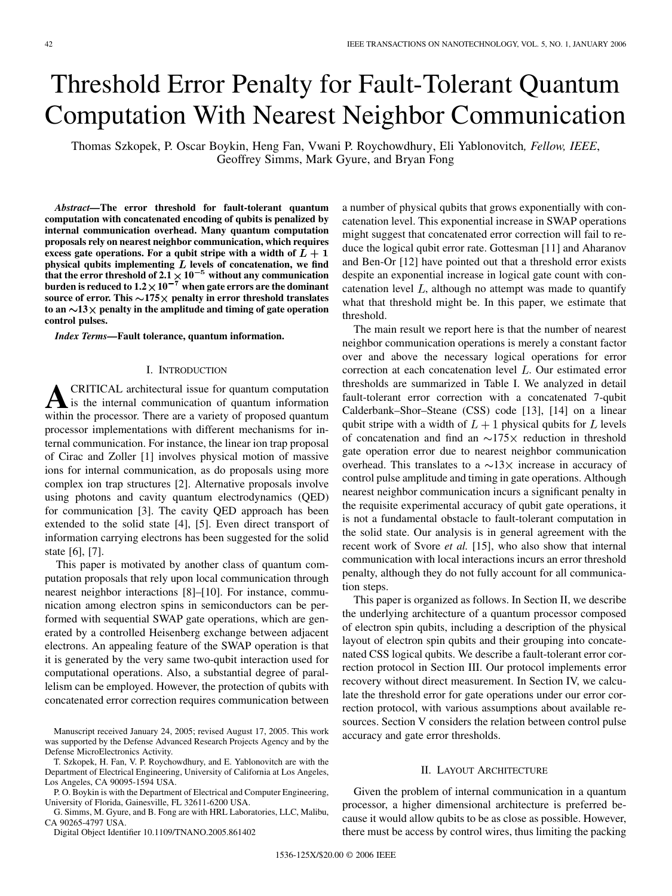# Threshold Error Penalty for Fault-Tolerant Quantum Computation With Nearest Neighbor Communication

Thomas Szkopek, P. Oscar Boykin, Heng Fan, Vwani P. Roychowdhury, Eli Yablonovitch*, Fellow, IEEE*, Geoffrey Simms, Mark Gyure, and Bryan Fong

*Abstract—***The error threshold for fault-tolerant quantum computation with concatenated encoding of qubits is penalized by internal communication overhead. Many quantum computation proposals rely on nearest neighbor communication, which requires** excess gate operations. For a qubit stripe with a width of  $L + 1$ physical qubits implementing  $L$  levels of concatenation, we find that the error threshold of  $2.1 \times 10^{-5}$  without any communication **burden is reduced to**  $1.2 \times 10^{-7}$  **when gate errors are the dominant** source of error. This  $\sim$ 175 $\times$  penalty in error threshold translates to an  $\sim$ 13 $\times$  penalty in the amplitude and timing of gate operation **control pulses.**

*Index Terms—***Fault tolerance, quantum information.**

# I. INTRODUCTION

**A**CRITICAL architectural issue for quantum computation is the internal communication of quantum information within the processor. There are a variety of proposed quantum processor implementations with different mechanisms for internal communication. For instance, the linear ion trap proposal of Cirac and Zoller [[1\]](#page-6-0) involves physical motion of massive ions for internal communication, as do proposals using more complex ion trap structures [[2\]](#page-6-0). Alternative proposals involve using photons and cavity quantum electrodynamics (QED) for communication [\[3](#page-6-0)]. The cavity QED approach has been extended to the solid state [[4\]](#page-6-0), [\[5](#page-6-0)]. Even direct transport of information carrying electrons has been suggested for the solid state [\[6](#page-7-0)], [\[7](#page-7-0)].

This paper is motivated by another class of quantum computation proposals that rely upon local communication through nearest neighbor interactions [[8\]](#page-7-0)–[\[10](#page-7-0)]. For instance, communication among electron spins in semiconductors can be performed with sequential SWAP gate operations, which are generated by a controlled Heisenberg exchange between adjacent electrons. An appealing feature of the SWAP operation is that it is generated by the very same two-qubit interaction used for computational operations. Also, a substantial degree of parallelism can be employed. However, the protection of qubits with concatenated error correction requires communication between

Manuscript received January 24, 2005; revised August 17, 2005. This work was supported by the Defense Advanced Research Projects Agency and by the Defense MicroElectronics Activity.

T. Szkopek, H. Fan, V. P. Roychowdhury, and E. Yablonovitch are with the Department of Electrical Engineering, University of California at Los Angeles, Los Angeles, CA 90095-1594 USA.

P. O. Boykin is with the Department of Electrical and Computer Engineering, University of Florida, Gainesville, FL 32611-6200 USA.

G. Simms, M. Gyure, and B. Fong are with HRL Laboratories, LLC, Malibu, CA 90265-4797 USA.

Digital Object Identifier 10.1109/TNANO.2005.861402

a number of physical qubits that grows exponentially with concatenation level. This exponential increase in SWAP operations might suggest that concatenated error correction will fail to reduce the logical qubit error rate. Gottesman [[11\]](#page-7-0) and Aharanov and Ben-Or [\[12](#page-7-0)] have pointed out that a threshold error exists despite an exponential increase in logical gate count with concatenation level  $L$ , although no attempt was made to quantify what that threshold might be. In this paper, we estimate that threshold.

The main result we report here is that the number of nearest neighbor communication operations is merely a constant factor over and above the necessary logical operations for error correction at each concatenation level  $L$ . Our estimated error thresholds are summarized in Table I. We analyzed in detail fault-tolerant error correction with a concatenated 7-qubit Calderbank–Shor–Steane (CSS) code [[13\]](#page-7-0), [[14\]](#page-7-0) on a linear qubit stripe with a width of  $L+1$  physical qubits for L levels of concatenation and find an  $\sim$ 175 $\times$  reduction in threshold gate operation error due to nearest neighbor communication overhead. This translates to a  $\sim$ 13 $\times$  increase in accuracy of control pulse amplitude and timing in gate operations. Although nearest neighbor communication incurs a significant penalty in the requisite experimental accuracy of qubit gate operations, it is not a fundamental obstacle to fault-tolerant computation in the solid state. Our analysis is in general agreement with the recent work of Svore *et al.* [[15\]](#page-7-0), who also show that internal communication with local interactions incurs an error threshold penalty, although they do not fully account for all communication steps.

This paper is organized as follows. In Section II, we describe the underlying architecture of a quantum processor composed of electron spin qubits, including a description of the physical layout of electron spin qubits and their grouping into concatenated CSS logical qubits. We describe a fault-tolerant error correction protocol in Section III. Our protocol implements error recovery without direct measurement. In Section IV, we calculate the threshold error for gate operations under our error correction protocol, with various assumptions about available resources. Section V considers the relation between control pulse accuracy and gate error thresholds.

## II. LAYOUT ARCHITECTURE

Given the problem of internal communication in a quantum processor, a higher dimensional architecture is preferred because it would allow qubits to be as close as possible. However, there must be access by control wires, thus limiting the packing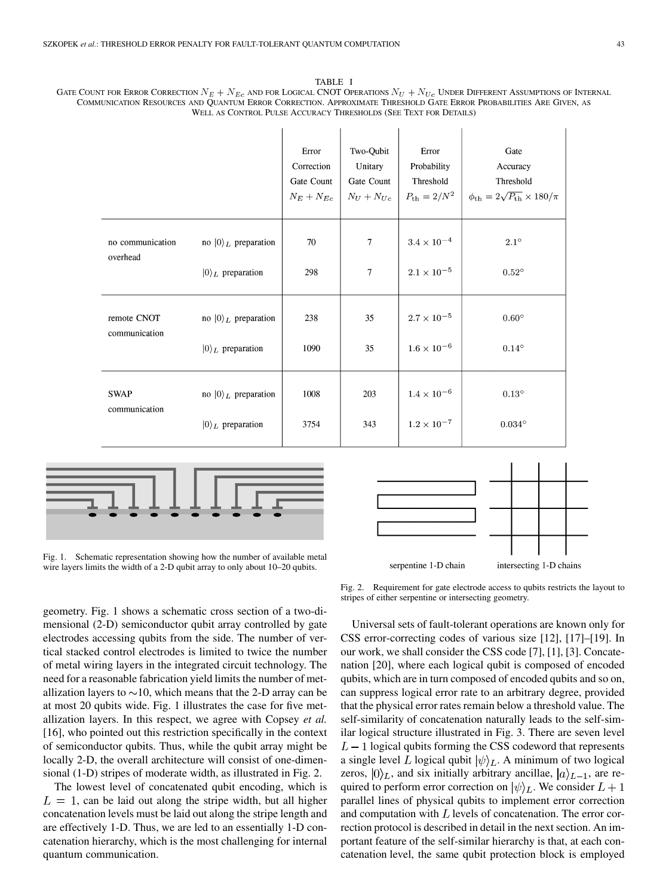|                              | WELL AS CONTROL PULSE ACCURACY THRESHOLDS (SEE TEXT FOR DETAILS) |                                                   |                                                      |                                                           | COMMUNICATION RESOURCES AND QUANTUM ERROR CORRECTION. APPROXIMATE THRESHOLD GATE ERROR PROBABILITIES ARE GIVEN, AS |
|------------------------------|------------------------------------------------------------------|---------------------------------------------------|------------------------------------------------------|-----------------------------------------------------------|--------------------------------------------------------------------------------------------------------------------|
|                              |                                                                  | Error<br>Correction<br>Gate Count<br>$N_E+N_{Ec}$ | Two-Qubit<br>Unitary<br>Gate Count<br>$N_U + N_{Uc}$ | Error<br>Probability<br>Threshold<br>$P_{\rm th} = 2/N^2$ | Gate<br>Accuracy<br>Threshold<br>$\phi_{\rm th} = 2\sqrt{P_{\rm th}} \times 180/\pi$                               |
| no communication<br>overhead | no $ 0\rangle_L$ preparation<br>$ 0\rangle_L$ preparation        | 70<br>298                                         | 7<br>$\overline{7}$                                  | $3.4 \times 10^{-4}$<br>$2.1\times10^{-5}$                | $2.1^\circ$<br>$0.52^\circ$                                                                                        |
| remote CNOT<br>communication | no $ 0\rangle_L$ preparation<br>$ 0\rangle_L$ preparation        | 238<br>1090                                       | 35<br>35                                             | $2.7 \times 10^{-5}$<br>$1.6\times10^{-6}$                | $0.60^\circ$<br>$0.14^{\circ}$                                                                                     |
| <b>SWAP</b><br>communication | no $ 0\rangle_L$ preparation                                     | 1008                                              | 203                                                  | $1.4\times10^{-6}$                                        | $0.13^{\circ}$                                                                                                     |

3754

343

TABLE I





 $|0\rangle_L$  preparation

Fig. 1. Schematic representation showing how the number of available metal wire layers limits the width of a 2-D qubit array to only about 10–20 qubits.

Fig. 2. Requirement for gate electrode access to qubits restricts the layout to stripes of either serpentine or intersecting geometry.

geometry. Fig. 1 shows a schematic cross section of a two-dimensional (2-D) semiconductor qubit array controlled by gate electrodes accessing qubits from the side. The number of vertical stacked control electrodes is limited to twice the number of metal wiring layers in the integrated circuit technology. The need for a reasonable fabrication yield limits the number of metallization layers to  $\sim$ 10, which means that the 2-D array can be at most 20 qubits wide. Fig. 1 illustrates the case for five metallization layers. In this respect, we agree with Copsey *et al.* [\[16](#page-7-0)], who pointed out this restriction specifically in the context of semiconductor qubits. Thus, while the qubit array might be locally 2-D, the overall architecture will consist of one-dimensional (1-D) stripes of moderate width, as illustrated in Fig. 2.

The lowest level of concatenated qubit encoding, which is  $L = 1$ , can be laid out along the stripe width, but all higher concatenation levels must be laid out along the stripe length and are effectively 1-D. Thus, we are led to an essentially 1-D concatenation hierarchy, which is the most challenging for internal quantum communication.





 $0.034^{\circ}$ 

 $1.2\times10^{-7}$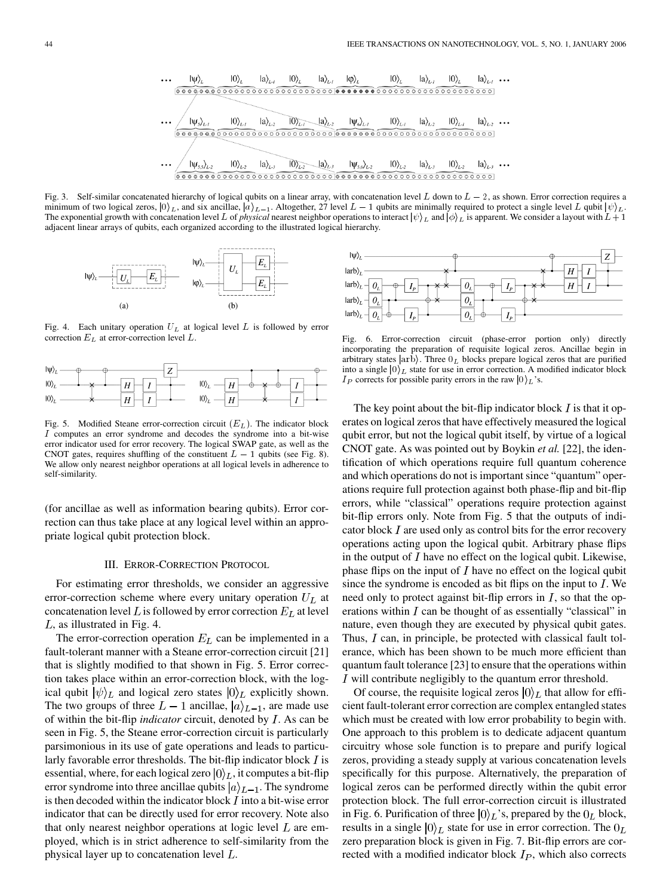Fig. 3. Self-similar concatenated hierarchy of logical qubits on a linear array, with concatenation level L down to  $L - 2$ , as shown. Error correction requires a minimum of two logical zeros,  $|0\rangle_L$ , and six ancillae,  $|a\rangle_{L-1}$ . Altogether, 27 level  $L-1$  qubits are minimally required to protect a single level L qubit  $|\psi\rangle_L$ . The exponential growth with concatenation level L of *physical* nearest neighbor operations to interact  $|\psi\rangle_L$  and  $|\phi\rangle_L$  is apparent. We consider a layout with  $L + 1$ adjacent linear arrays of qubits, each organized according to the illustrated logical hierarchy.



Fig. 4. Each unitary operation  $U_L$  at logical level L is followed by error correction  $E_L$  at error-correction level  $L$ .



Fig. 5. Modified Steane error-correction circuit  $(E_L)$ . The indicator block I computes an error syndrome and decodes the syndrome into a bit-wise error indicator used for error recovery. The logical SWAP gate, as well as the CNOT gates, requires shuffling of the constituent  $L - 1$  qubits (see Fig. 8). We allow only nearest neighbor operations at all logical levels in adherence to self-similarity.

(for ancillae as well as information bearing qubits). Error correction can thus take place at any logical level within an appropriate logical qubit protection block.

## III. ERROR-CORRECTION PROTOCOL

For estimating error thresholds, we consider an aggressive error-correction scheme where every unitary operation  $U_L$  at concatenation level L is followed by error correction  $E_L$  at level  $L$ , as illustrated in Fig. 4.

The error-correction operation  $E_L$  can be implemented in a fault-tolerant manner with a Steane error-correction circuit [\[21](#page-7-0)] that is slightly modified to that shown in Fig. 5. Error correction takes place within an error-correction block, with the logical qubit  $|\psi\rangle_L$  and logical zero states  $|0\rangle_L$  explicitly shown. The two groups of three  $L-1$  ancillae,  $|a\rangle_{L-1}$ , are made use of within the bit-flip *indicator* circuit, denoted by *I*. As can be seen in Fig. 5, the Steane error-correction circuit is particularly parsimonious in its use of gate operations and leads to particularly favorable error thresholds. The bit-flip indicator block  $I$  is essential, where, for each logical zero  $|0\rangle_L$ , it computes a bit-flip error syndrome into three ancillae qubits  $|a\rangle_{L-1}$ . The syndrome is then decoded within the indicator block  $I$  into a bit-wise error indicator that can be directly used for error recovery. Note also that only nearest neighbor operations at logic level  $L$  are employed, which is in strict adherence to self-similarity from the physical layer up to concatenation level  $L$ .



Fig. 6. Error-correction circuit (phase-error portion only) directly incorporating the preparation of requisite logical zeros. Ancillae begin in arbitrary states  $|$ arb $\rangle$ . Three  $0_L$  blocks prepare logical zeros that are purified into a single  $|0\rangle_L$  state for use in error correction. A modified indicator block  $I_P$  corrects for possible parity errors in the raw  $|0\rangle_L$ 's.

The key point about the bit-flip indicator block  $I$  is that it operates on logical zeros that have effectively measured the logical qubit error, but not the logical qubit itself, by virtue of a logical CNOT gate. As was pointed out by Boykin *et al.* [[22\]](#page-7-0), the identification of which operations require full quantum coherence and which operations do not is important since "quantum" operations require full protection against both phase-flip and bit-flip errors, while "classical" operations require protection against bit-flip errors only. Note from Fig. 5 that the outputs of indicator block  $I$  are used only as control bits for the error recovery operations acting upon the logical qubit. Arbitrary phase flips in the output of  $I$  have no effect on the logical qubit. Likewise, phase flips on the input of  $I$  have no effect on the logical qubit since the syndrome is encoded as bit flips on the input to  $I$ . We need only to protect against bit-flip errors in  $I$ , so that the operations within  $I$  can be thought of as essentially "classical" in nature, even though they are executed by physical qubit gates. Thus,  $I$  can, in principle, be protected with classical fault tolerance, which has been shown to be much more efficient than quantum fault tolerance [\[23](#page-7-0)] to ensure that the operations within I will contribute negligibly to the quantum error threshold.

Of course, the requisite logical zeros  $|0\rangle_L$  that allow for efficient fault-tolerant error correction are complex entangled states which must be created with low error probability to begin with. One approach to this problem is to dedicate adjacent quantum circuitry whose sole function is to prepare and purify logical zeros, providing a steady supply at various concatenation levels specifically for this purpose. Alternatively, the preparation of logical zeros can be performed directly within the qubit error protection block. The full error-correction circuit is illustrated in Fig. 6. Purification of three  $|0\rangle_L$ 's, prepared by the  $0_L$  block, results in a single  $|0\rangle_L$  state for use in error correction. The  $0_L$ zero preparation block is given in Fig. 7. Bit-flip errors are corrected with a modified indicator block  $I_P$ , which also corrects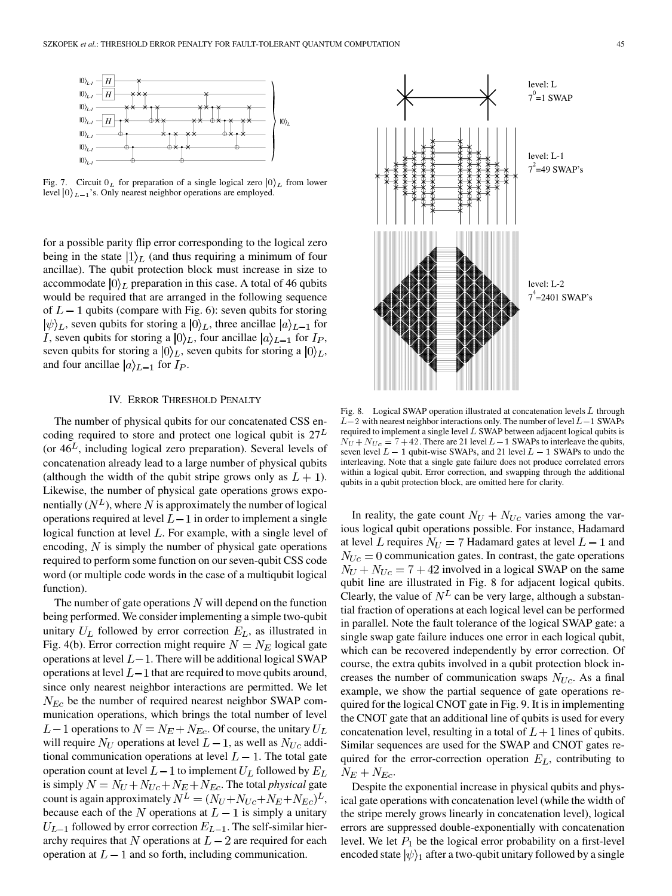

Fig. 7. Circuit  $0_L$  for preparation of a single logical zero  $|0\rangle_L$  from lower level  $|0\rangle_{L-1}$ 's. Only nearest neighbor operations are employed.

for a possible parity flip error corresponding to the logical zero being in the state  $|1\rangle$ , (and thus requiring a minimum of four ancillae). The qubit protection block must increase in size to accommodate  $|0\rangle_L$  preparation in this case. A total of 46 qubits would be required that are arranged in the following sequence of  $L-1$  qubits (compare with Fig. 6): seven qubits for storing  $|\psi\rangle_L$ , seven qubits for storing a  $|0\rangle_L$ , three ancillae  $|a\rangle_{L-1}$  for *I*, seven qubits for storing a  $|0\rangle_L$ , four ancillae  $|a\rangle_{L-1}$  for  $I_P$ , seven qubits for storing a  $|0\rangle_L$ , seven qubits for storing a  $|0\rangle_L$ , and four ancillae  $|a\rangle_{L-1}$  for  $I_P$ .

## IV. ERROR THRESHOLD PENALTY

The number of physical qubits for our concatenated CSS encoding required to store and protect one logical qubit is  $27<sup>L</sup>$ (or  $46<sup>L</sup>$ , including logical zero preparation). Several levels of concatenation already lead to a large number of physical qubits (although the width of the qubit stripe grows only as  $L + 1$ ). Likewise, the number of physical gate operations grows exponentially  $(N^L)$ , where N is approximately the number of logical operations required at level  $L-1$  in order to implement a single logical function at level  $L$ . For example, with a single level of encoding,  $N$  is simply the number of physical gate operations required to perform some function on our seven-qubit CSS code word (or multiple code words in the case of a multiqubit logical function).

The number of gate operations  $N$  will depend on the function being performed. We consider implementing a simple two-qubit unitary  $U_L$  followed by error correction  $E_L$ , as illustrated in Fig. 4(b). Error correction might require  $N = N_E$  logical gate operations at level  $L-1$ . There will be additional logical SWAP operations at level  $L-1$  that are required to move qubits around, since only nearest neighbor interactions are permitted. We let  $N_{Ec}$  be the number of required nearest neighbor SWAP communication operations, which brings the total number of level  $L-1$  operations to  $N = N_E + N_{Ec}$ . Of course, the unitary  $U_L$ will require  $N_U$  operations at level  $L - 1$ , as well as  $N_{U_c}$  additional communication operations at level  $L - 1$ . The total gate operation count at level  $L-1$  to implement  $U_L$  followed by  $E_L$ is simply  $N = N_U + N_{Uc} + N_E + N_{Ec}$ . The total *physical* gate count is again approximately  $N^L = (N_U + N_{Uc} + N_E + N_{Ec})^L$ , because each of the N operations at  $L-1$  is simply a unitary  $U_{L-1}$  followed by error correction  $E_{L-1}$ . The self-similar hierarchy requires that N operations at  $L-2$  are required for each operation at  $L-1$  and so forth, including communication.



Fig. 8. Logical SWAP operation illustrated at concatenation levels L through  $L-2$  with nearest neighbor interactions only. The number of level  $L-1$  SWAPs required to implement a single level L SWAP between adjacent logical qubits is  $N_U + N_{Uc} = 7 + 42$ . There are 21 level  $L-1$  SWAPs to interleave the qubits, seven level  $L - 1$  qubit-wise SWAPs, and 21 level  $L - 1$  SWAPs to undo the interleaving. Note that a single gate failure does not produce correlated errors within a logical qubit. Error correction, and swapping through the additional qubits in a qubit protection block, are omitted here for clarity.

In reality, the gate count  $N_U + N_{Uc}$  varies among the various logical qubit operations possible. For instance, Hadamard at level L requires  $N_U = 7$  Hadamard gates at level  $L - 1$  and  $N_{Uc} = 0$  communication gates. In contrast, the gate operations  $N_U + N_{Uc} = 7 + 42$  involved in a logical SWAP on the same qubit line are illustrated in Fig. 8 for adjacent logical qubits. Clearly, the value of  $N^L$  can be very large, although a substantial fraction of operations at each logical level can be performed in parallel. Note the fault tolerance of the logical SWAP gate: a single swap gate failure induces one error in each logical qubit, which can be recovered independently by error correction. Of course, the extra qubits involved in a qubit protection block increases the number of communication swaps  $N_{U_c}$ . As a final example, we show the partial sequence of gate operations required for the logical CNOT gate in Fig. 9. It is in implementing the CNOT gate that an additional line of qubits is used for every concatenation level, resulting in a total of  $L+1$  lines of qubits. Similar sequences are used for the SWAP and CNOT gates required for the error-correction operation  $E_L$ , contributing to  $N_E + N_{Ec}.$ 

Despite the exponential increase in physical qubits and physical gate operations with concatenation level (while the width of the stripe merely grows linearly in concatenation level), logical errors are suppressed double-exponentially with concatenation level. We let  $P_1$  be the logical error probability on a first-level encoded state  $|\psi\rangle_1$  after a two-qubit unitary followed by a single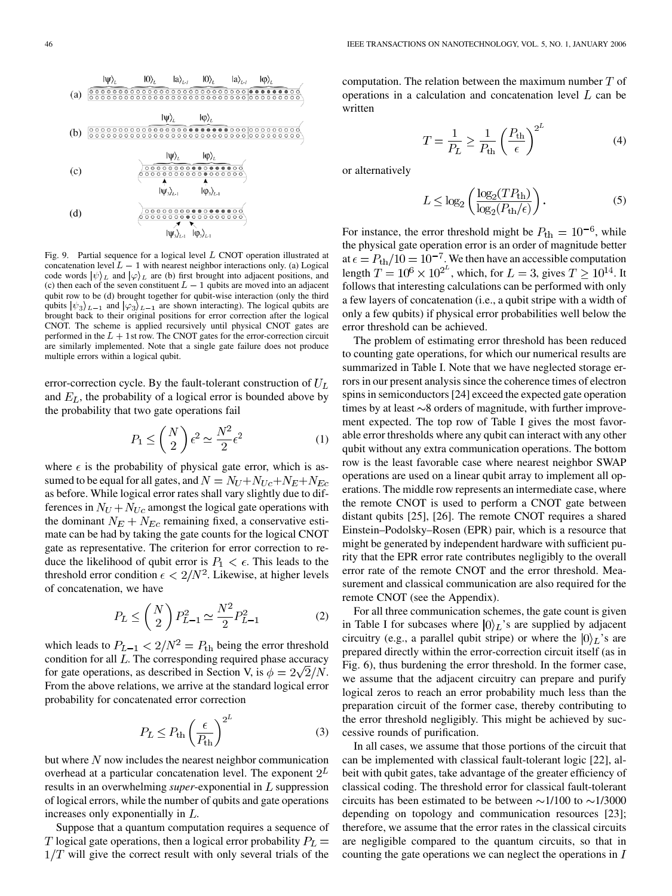

Fig. 9. Partial sequence for a logical level L CNOT operation illustrated at concatenation level  $L - 1$  with nearest neighbor interactions only. (a) Logical code words  $|\psi\rangle_L$  and  $|\varphi\rangle_L$  are (b) first brought into adjacent positions, and (c) then each of the seven constituent  $L - 1$  qubits are moved into an adjacent qubit row to be (d) brought together for qubit-wise interaction (only the third qubits  $|\psi_3\rangle_{L-1}$  and  $|\varphi_3\rangle_{L-1}$  are shown interacting). The logical qubits are brought back to their original positions for error correction after the logical CNOT. The scheme is applied recursively until physical CNOT gates are performed in the  $L + 1$ st row. The CNOT gates for the error-correction circuit are similarly implemented. Note that a single gate failure does not produce multiple errors within a logical qubit.

error-correction cycle. By the fault-tolerant construction of  $U_L$ and  $E_L$ , the probability of a logical error is bounded above by the probability that two gate operations fail

$$
P_1 \leq {N \choose 2} \epsilon^2 \simeq \frac{N^2}{2} \epsilon^2
$$
 (1)

where  $\epsilon$  is the probability of physical gate error, which is assumed to be equal for all gates, and  $N = N_U + N_{Uc} + N_E + N_{Ec}$ as before. While logical error rates shall vary slightly due to differences in  $N_U + N_{Uc}$  amongst the logical gate operations with the dominant  $N_E + N_{Ec}$  remaining fixed, a conservative estimate can be had by taking the gate counts for the logical CNOT gate as representative. The criterion for error correction to reduce the likelihood of qubit error is  $P_1 < \epsilon$ . This leads to the threshold error condition  $\epsilon < 2/N^2$ . Likewise, at higher levels of concatenation, we have

$$
P_L \leq {N \choose 2} P_{L-1}^2 \simeq \frac{N^2}{2} P_{L-1}^2
$$
 (2)

which leads to  $P_{L-1} < 2/N^2 = P_{\text{th}}$  being the error threshold condition for all  $L$ . The corresponding required phase accuracy for gate operations, as described in Section V, is  $\phi = 2\sqrt{2}/N$ . From the above relations, we arrive at the standard logical error probability for concatenated error correction

$$
P_L \le P_{\text{th}} \left(\frac{\epsilon}{P_{\text{th}}}\right)^{2^L} \tag{3}
$$

but where  $N$  now includes the nearest neighbor communication overhead at a particular concatenation level. The exponent  $2^L$ results in an overwhelming *super*-exponential in L suppression of logical errors, while the number of qubits and gate operations increases only exponentially in  $L$ .

Suppose that a quantum computation requires a sequence of T logical gate operations, then a logical error probability  $P_L =$  $1/T$  will give the correct result with only several trials of the computation. The relation between the maximum number  $T$  of operations in a calculation and concatenation level  $L$  can be written

$$
T = \frac{1}{P_L} \ge \frac{1}{P_{\text{th}}} \left(\frac{P_{\text{th}}}{\epsilon}\right)^{2^L} \tag{4}
$$

or alternatively

$$
L \leq \log_2 \left( \frac{\log_2 (T P_{\text{th}})}{\log_2 (P_{\text{th}}/\epsilon)} \right). \tag{5}
$$

For instance, the error threshold might be  $P_{\text{th}} = 10^{-6}$ , while the physical gate operation error is an order of magnitude better at  $\epsilon = P_{\text{th}}/10 = 10^{-7}$ . We then have an accessible computation length  $T = 10^6 \times 10^{2^L}$ , which, for  $L = 3$ , gives  $T \ge 10^{14}$ . It follows that interesting calculations can be performed with only a few layers of concatenation (i.e., a qubit stripe with a width of only a few qubits) if physical error probabilities well below the error threshold can be achieved.

The problem of estimating error threshold has been reduced to counting gate operations, for which our numerical results are summarized in Table I. Note that we have neglected storage errors in our present analysis since the coherence times of electron spins in semiconductors [\[24](#page-7-0)] exceed the expected gate operation times by at least  $\sim$ 8 orders of magnitude, with further improvement expected. The top row of Table I gives the most favorable error thresholds where any qubit can interact with any other qubit without any extra communication operations. The bottom row is the least favorable case where nearest neighbor SWAP operations are used on a linear qubit array to implement all operations. The middle row represents an intermediate case, where the remote CNOT is used to perform a CNOT gate between distant qubits [\[25](#page-7-0)], [[26\]](#page-7-0). The remote CNOT requires a shared Einstein–Podolsky–Rosen (EPR) pair, which is a resource that might be generated by independent hardware with sufficient purity that the EPR error rate contributes negligibly to the overall error rate of the remote CNOT and the error threshold. Measurement and classical communication are also required for the remote CNOT (see the Appendix).

For all three communication schemes, the gate count is given in Table I for subcases where  $|0\rangle$ <sub>L</sub>'s are supplied by adjacent circuitry (e.g., a parallel qubit stripe) or where the  $|0\rangle_L$ 's are prepared directly within the error-correction circuit itself (as in Fig. 6), thus burdening the error threshold. In the former case, we assume that the adjacent circuitry can prepare and purify logical zeros to reach an error probability much less than the preparation circuit of the former case, thereby contributing to the error threshold negligibly. This might be achieved by successive rounds of purification.

In all cases, we assume that those portions of the circuit that can be implemented with classical fault-tolerant logic [[22\]](#page-7-0), albeit with qubit gates, take advantage of the greater efficiency of classical coding. The threshold error for classical fault-tolerant circuits has been estimated to be between  $\sim$ 1/100 to  $\sim$ 1/3000 depending on topology and communication resources [[23\]](#page-7-0); therefore, we assume that the error rates in the classical circuits are negligible compared to the quantum circuits, so that in counting the gate operations we can neglect the operations in  $I$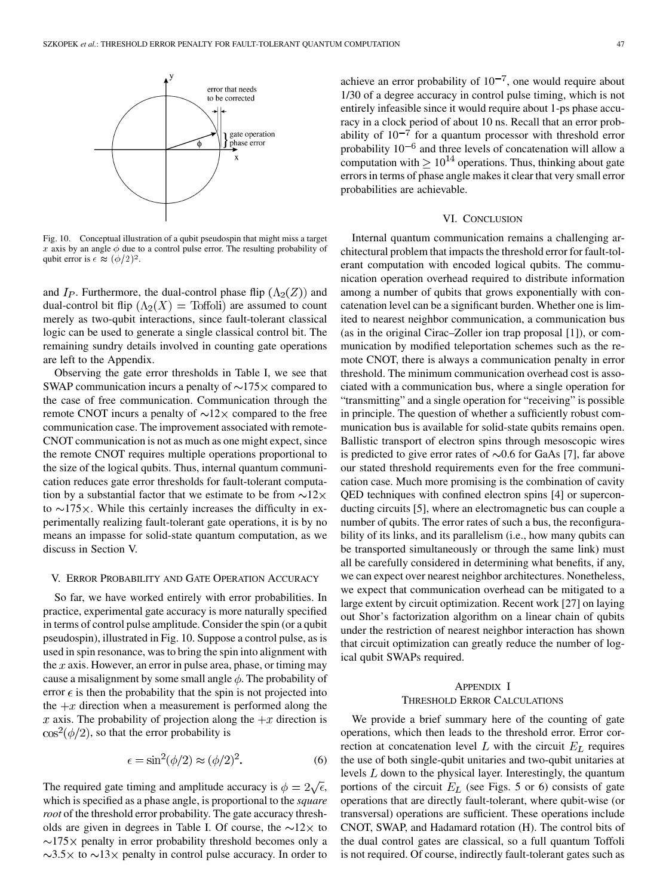

Fig. 10. Conceptual illustration of a qubit pseudospin that might miss a target x axis by an angle  $\phi$  due to a control pulse error. The resulting probability of qubit error is  $\epsilon \approx (\phi/2)^2$ .

and  $I_P$ . Furthermore, the dual-control phase flip  $(\Lambda_2(Z))$  and dual-control bit flip  $(\Lambda_2(X) = \text{Toffoli})$  are assumed to count merely as two-qubit interactions, since fault-tolerant classical logic can be used to generate a single classical control bit. The remaining sundry details involved in counting gate operations are left to the Appendix.

Observing the gate error thresholds in Table I, we see that SWAP communication incurs a penalty of  $\sim$ 175 $\times$  compared to the case of free communication. Communication through the remote CNOT incurs a penalty of  $\sim$ 12 $\times$  compared to the free communication case. The improvement associated with remote-CNOT communication is not as much as one might expect, since the remote CNOT requires multiple operations proportional to the size of the logical qubits. Thus, internal quantum communication reduces gate error thresholds for fault-tolerant computation by a substantial factor that we estimate to be from  $\sim 12 \times$ to  $\sim$ 175 $\times$ . While this certainly increases the difficulty in experimentally realizing fault-tolerant gate operations, it is by no means an impasse for solid-state quantum computation, as we discuss in Section V.

#### V. ERROR PROBABILITY AND GATE OPERATION ACCURACY

So far, we have worked entirely with error probabilities. In practice, experimental gate accuracy is more naturally specified in terms of control pulse amplitude. Consider the spin (or a qubit pseudospin), illustrated in Fig. 10. Suppose a control pulse, as is used in spin resonance, was to bring the spin into alignment with the  $x$  axis. However, an error in pulse area, phase, or timing may cause a misalignment by some small angle  $\phi$ . The probability of error  $\epsilon$  is then the probability that the spin is not projected into the  $+x$  direction when a measurement is performed along the x axis. The probability of projection along the  $+x$  direction is  $\cos^2(\phi/2)$ , so that the error probability is

$$
\epsilon = \sin^2(\phi/2) \approx (\phi/2)^2. \tag{6}
$$

The required gate timing and amplitude accuracy is  $\phi = 2\sqrt{\epsilon}$ , which is specified as a phase angle, is proportional to the *square root* of the threshold error probability. The gate accuracy thresholds are given in degrees in Table I. Of course, the  $\sim$ 12 $\times$  to  $\sim$ 175 $\times$  penalty in error probability threshold becomes only a  $\sim$ 3.5 \to  $\sim$ 13 \times penalty in control pulse accuracy. In order to

achieve an error probability of  $10^{-7}$ , one would require about 1/30 of a degree accuracy in control pulse timing, which is not entirely infeasible since it would require about 1-ps phase accuracy in a clock period of about 10 ns. Recall that an error probability of  $10^{-7}$  for a quantum processor with threshold error probability  $10^{-6}$  and three levels of concatenation will allow a computation with  $\geq 10^{14}$  operations. Thus, thinking about gate errors in terms of phase angle makes it clear that very small error probabilities are achievable.

## VI. CONCLUSION

Internal quantum communication remains a challenging architectural problem that impacts the threshold error for fault-tolerant computation with encoded logical qubits. The communication operation overhead required to distribute information among a number of qubits that grows exponentially with concatenation level can be a significant burden. Whether one is limited to nearest neighbor communication, a communication bus (as in the original Cirac–Zoller ion trap proposal [[1\]](#page-6-0)), or communication by modified teleportation schemes such as the remote CNOT, there is always a communication penalty in error threshold. The minimum communication overhead cost is associated with a communication bus, where a single operation for "transmitting" and a single operation for "receiving" is possible in principle. The question of whether a sufficiently robust communication bus is available for solid-state qubits remains open. Ballistic transport of electron spins through mesoscopic wires is predicted to give error rates of  $\sim 0.6$  for GaAs [\[7](#page-7-0)], far above our stated threshold requirements even for the free communication case. Much more promising is the combination of cavity QED techniques with confined electron spins [\[4](#page-6-0)] or superconducting circuits [[5\]](#page-6-0), where an electromagnetic bus can couple a number of qubits. The error rates of such a bus, the reconfigurability of its links, and its parallelism (i.e., how many qubits can be transported simultaneously or through the same link) must all be carefully considered in determining what benefits, if any, we can expect over nearest neighbor architectures. Nonetheless, we expect that communication overhead can be mitigated to a large extent by circuit optimization. Recent work [[27\]](#page-7-0) on laying out Shor's factorization algorithm on a linear chain of qubits under the restriction of nearest neighbor interaction has shown that circuit optimization can greatly reduce the number of logical qubit SWAPs required.

# APPENDIX I THRESHOLD ERROR CALCULATIONS

We provide a brief summary here of the counting of gate operations, which then leads to the threshold error. Error correction at concatenation level  $L$  with the circuit  $E_L$  requires the use of both single-qubit unitaries and two-qubit unitaries at levels  $L$  down to the physical layer. Interestingly, the quantum portions of the circuit  $E_L$  (see Figs. 5 or 6) consists of gate operations that are directly fault-tolerant, where qubit-wise (or transversal) operations are sufficient. These operations include CNOT, SWAP, and Hadamard rotation (H). The control bits of the dual control gates are classical, so a full quantum Toffoli is not required. Of course, indirectly fault-tolerant gates such as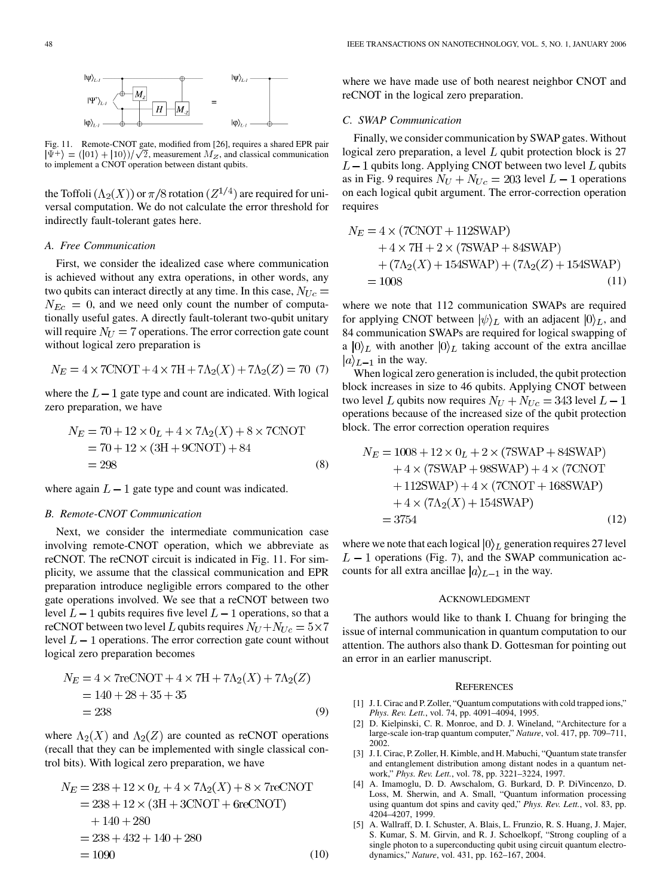<span id="page-6-0"></span>

Fig. 11. Remote-CNOT gate, modified from [[26\]](#page-7-0), requires a shared EPR pair  $\vert \Psi^+ \rangle = (\vert 01 \rangle + \vert 10 \rangle)/\sqrt{2}$ , measurement  $M_Z$ , and classical communication to implement a CNOT operation between distant qubits.

the Toffoli  $(\Lambda_2(X))$  or  $\pi/8$  rotation  $(Z^{1/4})$  are required for universal computation. We do not calculate the error threshold for indirectly fault-tolerant gates here.

### *A. Free Communication*

First, we consider the idealized case where communication is achieved without any extra operations, in other words, any two qubits can interact directly at any time. In this case,  $N_{Uc} =$  $N_{Ec} = 0$ , and we need only count the number of computationally useful gates. A directly fault-tolerant two-qubit unitary will require  $N_U = 7$  operations. The error correction gate count without logical zero preparation is

$$
N_E = 4 \times 7 \text{CNOT} + 4 \times 7H + 7\Lambda_2(X) + 7\Lambda_2(Z) = 70 (7)
$$

where the  $L-1$  gate type and count are indicated. With logical zero preparation, we have

$$
N_E = 70 + 12 \times 0_L + 4 \times 7\Lambda_2(X) + 8 \times 7 \text{CNOT}
$$
  
= 70 + 12 \times (3H + 9 \text{CNOT}) + 84  
= 298 (8)

where again  $L-1$  gate type and count was indicated.

# *B. Remote-CNOT Communication*

Next, we consider the intermediate communication case involving remote-CNOT operation, which we abbreviate as reCNOT. The reCNOT circuit is indicated in Fig. 11. For simplicity, we assume that the classical communication and EPR preparation introduce negligible errors compared to the other gate operations involved. We see that a reCNOT between two level  $L-1$  qubits requires five level  $L-1$  operations, so that a reCNOT between two level L qubits requires  $N_U + N_{Uc} = 5 \times 7$ level  $L-1$  operations. The error correction gate count without logical zero preparation becomes

$$
N_E = 4 \times 7 \text{reCNOT} + 4 \times 7H + 7\Lambda_2(X) + 7\Lambda_2(Z)
$$
  
= 140 + 28 + 35 + 35  
= 238 (9)

where  $\Lambda_2(X)$  and  $\Lambda_2(Z)$  are counted as reCNOT operations (recall that they can be implemented with single classical control bits). With logical zero preparation, we have

$$
N_E = 238 + 12 \times 0_L + 4 \times 7\Lambda_2(X) + 8 \times 7 \text{reCNOT}
$$
  
= 238 + 12 \times (3H + 3CNOT + 6 \text{reCNOT})  
+ 140 + 280  
= 238 + 432 + 140 + 280  
= 1090 (10)

where we have made use of both nearest neighbor CNOT and reCNOT in the logical zero preparation.

## *C. SWAP Communication*

Finally, we consider communication by SWAP gates. Without logical zero preparation, a level  $L$  qubit protection block is 27  $L-1$  qubits long. Applying CNOT between two level  $L$  qubits as in Fig. 9 requires  $N_U + N_{Uc} = 203$  level  $L - 1$  operations on each logical qubit argument. The error-correction operation requires

$$
N_E = 4 \times (7 \text{CNOT} + 112 \text{SWAP}) + 4 \times 7 \text{H} + 2 \times (7 \text{SWAP} + 84 \text{SWAP}) + (7 \Lambda_2(X) + 154 \text{SWAP}) + (7 \Lambda_2(Z) + 154 \text{SWAP}) = 1008
$$
 (11)

where we note that 112 communication SWAPs are required for applying CNOT between  $|\psi\rangle_L$  with an adjacent  $|0\rangle_L$ , and 84 communication SWAPs are required for logical swapping of a  $\ket{0}_L$  with another  $\ket{0}_L$  taking account of the extra ancillae  $|a\rangle_{L-1}$  in the way.

When logical zero generation is included, the qubit protection block increases in size to 46 qubits. Applying CNOT between two level L qubits now requires  $N_U + N_{Uc} = 343$  level  $L - 1$ operations because of the increased size of the qubit protection block. The error correction operation requires

$$
N_E = 1008 + 12 \times 0_L + 2 \times (7 \text{SWAP} + 84 \text{SWAP}) + 4 \times (7 \text{SWAP} + 98 \text{SWAP}) + 4 \times (7 \text{CNOT} + 112 \text{SWAP}) + 4 \times (7 \text{CNOT} + 168 \text{SWAP}) + 4 \times (7\Lambda_2(X) + 154 \text{SWAP}) = 3754
$$
 (12)

where we note that each logical  $|0\rangle_L$  generation requires 27 level  $L-1$  operations (Fig. 7), and the SWAP communication accounts for all extra ancillae  $|a\rangle_{L-1}$  in the way.

#### ACKNOWLEDGMENT

The authors would like to thank I. Chuang for bringing the issue of internal communication in quantum computation to our attention. The authors also thank D. Gottesman for pointing out an error in an earlier manuscript.

#### **REFERENCES**

- [1] J. I. Cirac and P. Zoller, "Quantum computations with cold trapped ions," *Phys. Rev. Lett.*, vol. 74, pp. 4091–4094, 1995.
- [2] D. Kielpinski, C. R. Monroe, and D. J. Wineland, "Architecture for a large-scale ion-trap quantum computer," *Nature*, vol. 417, pp. 709–711, 2002.
- [3] J. I. Cirac, P. Zoller, H. Kimble, and H. Mabuchi, "Quantum state transfer and entanglement distribution among distant nodes in a quantum network," *Phys. Rev. Lett.*, vol. 78, pp. 3221–3224, 1997.
- [4] A. Imamoglu, D. D. Awschalom, G. Burkard, D. P. DiVincenzo, D. Loss, M. Sherwin, and A. Small, "Quantum information processing using quantum dot spins and cavity qed," *Phys. Rev. Lett.*, vol. 83, pp. 4204–4207, 1999.
- [5] A. Wallraff, D. I. Schuster, A. Blais, L. Frunzio, R. S. Huang, J. Majer, S. Kumar, S. M. Girvin, and R. J. Schoelkopf, "Strong coupling of a single photon to a superconducting qubit using circuit quantum electrodynamics," *Nature*, vol. 431, pp. 162–167, 2004.